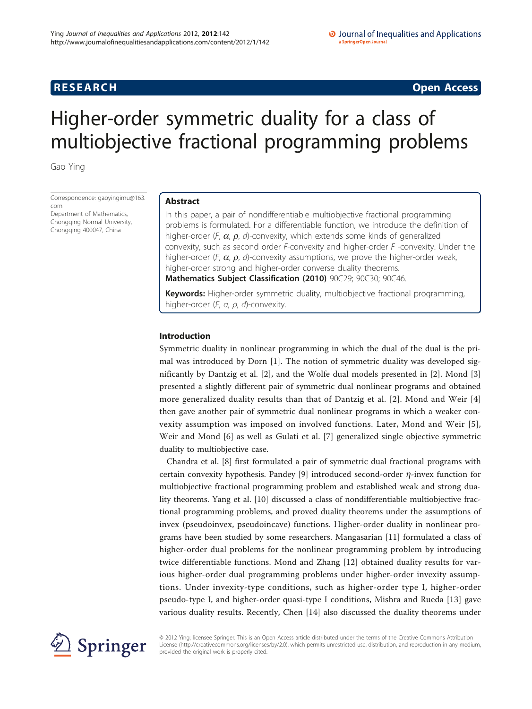**RESEARCH CONSTRUCTION CONSTRUCTS** 

# Higher-order symmetric duality for a class of multiobjective fractional programming problems

Gao Ying

Correspondence: [gaoyingimu@163.](mailto:gaoyingimu@163.com) [com](mailto:gaoyingimu@163.com) Department of Mathematics, Chongqing Normal University, Chongqing 400047, China

# Abstract

In this paper, a pair of nondifferentiable multiobjective fractional programming problems is formulated. For a differentiable function, we introduce the definition of higher-order (F,  $\alpha$ ,  $\rho$ , d)-convexity, which extends some kinds of generalized convexity, such as second order  $F$ -convexity and higher-order  $F$  -convexity. Under the higher-order (F,  $\alpha$ ,  $\rho$ , d)-convexity assumptions, we prove the higher-order weak, higher-order strong and higher-order converse duality theorems. Mathematics Subject Classification (2010) 90C29; 90C30; 90C46.

Keywords: Higher-order symmetric duality, multiobjective fractional programming, higher-order (F, α, ρ, d)-convexity.

# Introduction

Symmetric duality in nonlinear programming in which the dual of the dual is the primal was introduced by Dorn [[1\]](#page-10-0). The notion of symmetric duality was developed significantly by Dantzig et al. [[2\]](#page-10-0), and the Wolfe dual models presented in [[2\]](#page-10-0). Mond [\[3](#page-10-0)] presented a slightly different pair of symmetric dual nonlinear programs and obtained more generalized duality results than that of Dantzig et al. [[2\]](#page-10-0). Mond and Weir [\[4](#page-11-0)] then gave another pair of symmetric dual nonlinear programs in which a weaker convexity assumption was imposed on involved functions. Later, Mond and Weir [[5\]](#page-11-0), Weir and Mond [\[6](#page-11-0)] as well as Gulati et al. [\[7](#page-11-0)] generalized single objective symmetric duality to multiobjective case.

Chandra et al. [[8\]](#page-11-0) first formulated a pair of symmetric dual fractional programs with certain convexity hypothesis. Pandey [\[9](#page-11-0)] introduced second-order  $\eta$ -invex function for multiobjective fractional programming problem and established weak and strong duality theorems. Yang et al. [[10\]](#page-11-0) discussed a class of nondifferentiable multiobjective fractional programming problems, and proved duality theorems under the assumptions of invex (pseudoinvex, pseudoincave) functions. Higher-order duality in nonlinear programs have been studied by some researchers. Mangasarian [[11\]](#page-11-0) formulated a class of higher-order dual problems for the nonlinear programming problem by introducing twice differentiable functions. Mond and Zhang [[12\]](#page-11-0) obtained duality results for various higher-order dual programming problems under higher-order invexity assumptions. Under invexity-type conditions, such as higher-order type I, higher-order pseudo-type I, and higher-order quasi-type I conditions, Mishra and Rueda [[13\]](#page-11-0) gave various duality results. Recently, Chen [[14\]](#page-11-0) also discussed the duality theorems under



© 2012 Ying; licensee Springer. This is an Open Access article distributed under the terms of the Creative Commons Attribution License [\(http://creativecommons.org/licenses/by/2.0](http://creativecommons.org/licenses/by/2.0)), which permits unrestricted use, distribution, and reproduction in any medium, provided the original work is properly cited.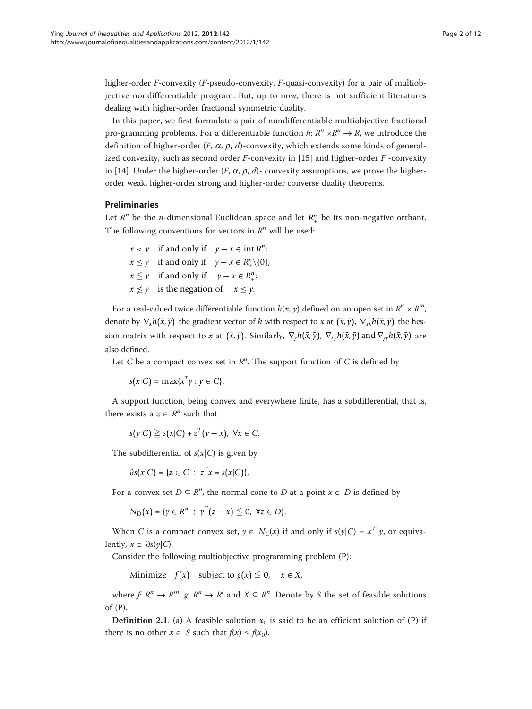higher-order *F*-convexity  $(F$ -pseudo-convexity,  $F$ -quasi-convexity) for a pair of multiobjective nondifferentiable program. But, up to now, there is not sufficient literatures dealing with higher-order fractional symmetric duality.

In this paper, we first formulate a pair of nondifferentiable multiobjective fractional pro-gramming problems. For a differentiable function  $h: R^n \times R^n \to R$ , we introduce the definition of higher-order  $(F, \alpha, \rho, d)$ -convexity, which extends some kinds of generalized convexity, such as second order  $F$ -convexity in [\[15\]](#page-11-0) and higher-order  $F$ -convexity in [\[14](#page-11-0)]. Under the higher-order (*F*,  $\alpha$ ,  $\rho$ , *d*)- convexity assumptions, we prove the higherorder weak, higher-order strong and higher-order converse duality theorems.

## Preliminaries

Let  $R^n$  be the *n*-dimensional Euclidean space and let  $R^n_+$  be its non-negative orthant. The following conventions for vectors in  $R<sup>n</sup>$  will be used:

 $x < y$  if and only if  $y - x \in \text{int } R^n$ ;  $x \leq \gamma$  if and only if  $\gamma - x \in R_+^n \setminus \{0\};$  $x \leq \gamma$  if and only if  $\gamma - x \in R^n_+$ ;  $x \nleq y$  is the negation of  $x \leq y$ .

For a real-valued twice differentiable function  $h(x, y)$  defined on an open set in  $R^n \times R^m$ , denote by  $\nabla_x h(\bar{x}, \bar{y})$  the gradient vector of h with respect to x at  $(\bar{x}, \bar{y})$ ,  $\nabla_{xx} h(\bar{x}, \bar{y})$  the hessian matrix with respect to x at  $(\bar{x}, \bar{y})$ . Similarly,  $\nabla_{y}h(\bar{x}, \bar{y})$ ,  $\nabla_{xy}h(\bar{x}, \bar{y})$  and  $\nabla_{yy}h(\bar{x}, \bar{y})$  are also defined.

Let  $C$  be a compact convex set in  $R^n$ . The support function of  $C$  is defined by

 $s(x|C) = \max\{x^T y : y \in C\}.$ 

A support function, being convex and everywhere finite, has a subdifferential, that is, there exists a  $z \in R^n$  such that

 $s(\gamma|C) \geq s(x|C) + z^T(\gamma - x)$ ,  $\forall x \in C$ .

The subdifferential of  $s(x|C)$  is given by

 $\partial s(x|C) = \{z \in C : z^T x = s(x|C)\}.$ 

For a convex set  $D \subseteq R^n$ , the normal cone to D at a point  $x \in D$  is defined by

$$
N_D(x) = \{ y \in R^n : y^T(z - x) \leq 0, \forall z \in D \}.
$$

When C is a compact convex set,  $y \in N_C(x)$  if and only if  $s(y|C) = x^T y$ , or equivalently,  $x \in \partial s(y|C)$ .

Consider the following multiobjective programming problem (P):

Minimize  $f(x)$  subject to  $g(x) \leq 0$ ,  $x \in X$ ,

where  $f: R^n \to R^m$ ,  $g: R^n \to R^l$  and  $X \subseteq R^n$ . Denote by S the set of feasible solutions of (P).

**Definition 2.1.** (a) A feasible solution  $x_0$  is said to be an efficient solution of (P) if there is no other  $x \in S$  such that  $f(x) \le f(x_0)$ .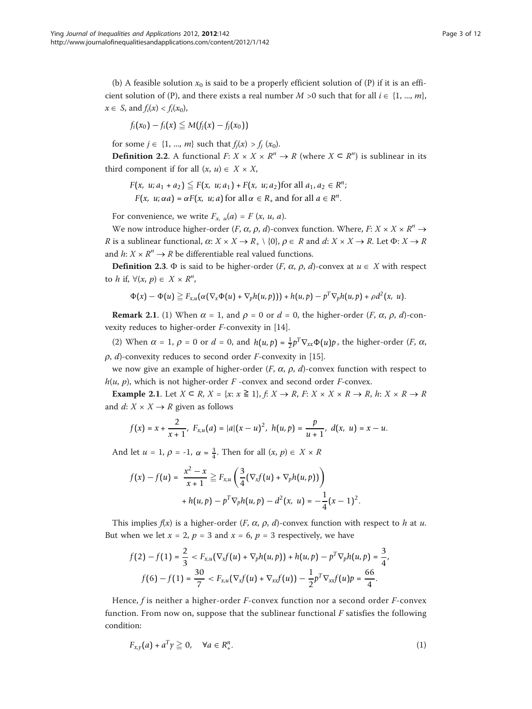(b) A feasible solution  $x_0$  is said to be a properly efficient solution of (P) if it is an efficient solution of (P), and there exists a real number  $M > 0$  such that for all  $i \in \{1, ..., m\}$ ,  $x \in S$ , and  $f_i(x) < f_i(x_0)$ ,

$$
f_i(x_0)-f_i(x)\leqq M(f_j(x)-f_j(x_0))
$$

for some  $j \in \{1, ..., m\}$  such that  $f_i(x) > f_i(x_0)$ .

**Definition 2.2.** A functional  $F: X \times X \times \mathbb{R}^n \to \mathbb{R}$  (where  $X \subseteq \mathbb{R}^n$ ) is sublinear in its third component if for all  $(x, u) \in X \times X$ ,

 $F(x, u; a_1 + a_2) \leq F(x, u; a_1) + F(x, u; a_2)$  for all  $a_1, a_2 \in R^n;$ 

*F*(*x*, *u*;  $\alpha a$ ) =  $\alpha F(x, u; a)$  for all  $\alpha \in R_+$  and for all  $a \in R^n$ .

For convenience, we write  $F_{x,u}(a) = F(x, u, a)$ .

We now introduce higher-order (*F*,  $\alpha$ ,  $\rho$ , *d*)-convex function. Where, *F*:  $X \times X \times R^n \rightarrow$ R is a sublinear functional,  $\alpha: X \times X \to R_+ \setminus \{0\}, \rho \in R$  and  $d: X \times X \to R$ . Let  $\Phi: X \to R$ and  $h: X \times R^n \rightarrow R$  be differentiable real valued functions.

**Definition 2.3.**  $\Phi$  is said to be higher-order (*F,*  $\alpha$ *,*  $\rho$ *, d*)-convex at  $u \in X$  with respect to h if,  $\forall (x, p) \in X \times R^n$ ,

$$
\Phi(x) - \Phi(u) \geq F_{x,u}(\alpha(\nabla_x \Phi(u) + \nabla_p h(u,p))) + h(u,p) - p^T \nabla_p h(u,p) + \rho d^2(x,u).
$$

**Remark 2.1.** (1) When  $\alpha = 1$ , and  $\rho = 0$  or  $d = 0$ , the higher-order (*F*,  $\alpha$ ,  $\rho$ , *d*)-convexity reduces to higher-order F-convexity in [[14\]](#page-11-0).

(2) When  $\alpha = 1$ ,  $\rho = 0$  or  $d = 0$ , and  $h(u, p) = \frac{1}{2} p^T \nabla_{xx} \Phi(u) p$ , the higher-order (*F*,  $\alpha$ ,  $\rho$ , d)-convexity reduces to second order *F*-convexity in [\[15](#page-11-0)].

we now give an example of higher-order  $(F, \alpha, \rho, d)$ -convex function with respect to  $h(u, p)$ , which is not higher-order F-convex and second order F-convex.

**Example 2.1.** Let  $X \subseteq R$ ,  $X = \{x: x \ge 1\}$ ,  $f: X \rightarrow R$ ,  $F: X \times X \times R \rightarrow R$ ,  $h: X \times R \rightarrow R$ and  $d: X \times X \rightarrow R$  given as follows

$$
f(x) = x + \frac{2}{x+1}, \ F_{x,u}(a) = |a|(x-u)^2, \ h(u,p) = \frac{p}{u+1}, \ d(x,\ u) = x-u.
$$

And let  $u = 1$ ,  $\rho = -1$ ,  $\alpha = \frac{3}{4}$ . Then for all  $(x, p) \in X \times R$ 

$$
f(x) - f(u) = \frac{x^2 - x}{x + 1} \ge F_{x,u} \left( \frac{3}{4} (\nabla_x f(u) + \nabla_p h(u, p)) \right) + h(u, p) - p^T \nabla_p h(u, p) - d^2(x, u) = -\frac{1}{4} (x - 1)^2.
$$

This implies  $f(x)$  is a higher-order  $(F, \alpha, \rho, d)$ -convex function with respect to h at u. But when we let  $x = 2$ ,  $p = 3$  and  $x = 6$ ,  $p = 3$  respectively, we have

$$
f(2) - f(1) = \frac{2}{3} < F_{x,u}(\nabla_x f(u) + \nabla_p h(u, p)) + h(u, p) - p^T \nabla_p h(u, p) = \frac{3}{4},
$$
\n
$$
f(6) - f(1) = \frac{30}{7} < F_{x,u}(\nabla_x f(u) + \nabla_{xx} f(u)) - \frac{1}{2} p^T \nabla_{xx} f(u) p = \frac{66}{4}.
$$

Hence, f is neither a higher-order F-convex function nor a second order F-convex function. From now on, suppose that the sublinear functional  $F$  satisfies the following condition:

$$
F_{x,y}(a) + a^T y \ge 0, \quad \forall a \in R_+^n.
$$
 (1)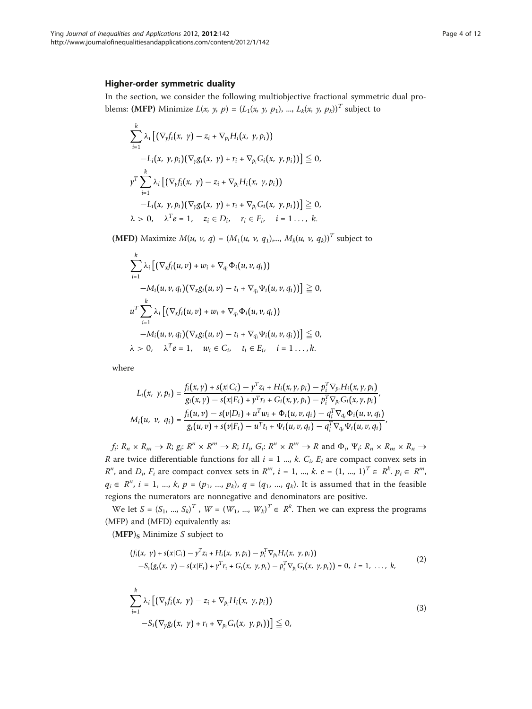### Higher-order symmetric duality

In the section, we consider the following multiobjective fractional symmetric dual problems: (MFP) Minimize  $L(x, y, p) = (L_1(x, y, p_1), ..., L_k(x, y, p_k))^T$  subject to

$$
\sum_{i=1}^{k} \lambda_i \left[ \left( \nabla_y f_i(x, y) - z_i + \nabla_{p_i} H_i(x, y, p_i) \right) -L_i(x, y, p_i) \right] (\nabla_y g_i(x, y) + r_i + \nabla_{p_i} G_i(x, y, p_i)) \right] \leq 0,
$$
\n
$$
\gamma^T \sum_{i=1}^{k} \lambda_i \left[ \left( \nabla_y f_i(x, y) - z_i + \nabla_{p_i} H_i(x, y, p_i) \right) -L_i(x, y, p_i) \right] (\nabla_y g_i(x, y) + r_i + \nabla_{p_i} G_i(x, y, p_i)) \right] \geq 0,
$$
\n
$$
\lambda > 0, \quad \lambda^T e = 1, \quad z_i \in D_i, \quad r_i \in F_i, \quad i = 1 \dots, k.
$$

(MFD) Maximize  $M(u, v, q) = (M_1(u, v, q_1),..., M_k(u, v, q_k))^T$  subject to

$$
\sum_{i=1}^{k} \lambda_i \left[ \left( \nabla_x f_i(u, v) + w_i + \nabla_{q_i} \Phi_i(u, v, q_i) \right) - M_i(u, v, q_i) \right] \left( \nabla_x g_i(u, v) - t_i + \nabla_{q_i} \Psi_i(u, v, q_i) \right) \right] \geq 0,
$$
\n
$$
u^T \sum_{i=1}^{k} \lambda_i \left[ \left( \nabla_x f_i(u, v) + w_i + \nabla_{q_i} \Phi_i(u, v, q_i) \right) - M_i(u, v, q_i) \right] \left( \nabla_x g_i(u, v) - t_i + \nabla_{q_i} \Psi_i(u, v, q_i) \right) \right] \leq 0,
$$
\n
$$
\lambda > 0, \quad \lambda^T e = 1, \quad w_i \in C_i, \quad t_i \in E_i, \quad i = 1 \dots, k.
$$

where

$$
L_i(x, y, p_i) = \frac{f_i(x, y) + s(x|C_i) - y^T z_i + H_i(x, y, p_i) - p_i^T \nabla_{p_i} H_i(x, y, p_i)}{g_i(x, y) - s(x|E_i) + y^T r_i + G_i(x, y, p_i) - p_i^T \nabla_{p_i} G_i(x, y, p_i)},
$$
  

$$
M_i(u, v, q_i) = \frac{f_i(u, v) - s(v|D_i) + u^T w_i + \Phi_i(u, v, q_i) - q_i^T \nabla_{q_i} \Phi_i(u, v, q_i)}{g_i(u, v) + s(v|F_i) - u^T t_i + \Psi_i(u, v, q_i) - q_i^T \nabla_{q_i} \Psi_i(u, v, q_i)},
$$

 $f_i: R_n \times R_m \to R$ ;  $g_i: R^n \times R^m \to R$ ;  $H_i$ ,  $G_i: R^n \times R^m \to R$  and  $\Phi_i$ ,  $\Psi_i: R_n \times R_m \times R_n \to$ R are twice differentiable functions for all  $i = 1$  ..., k.  $C_i$ ,  $E_i$  are compact convex sets in  $R^n$ , and  $D_i$ ,  $F_i$  are compact convex sets in  $R^m$ ,  $i = 1, ..., k$ .  $e = (1, ..., 1)^T \in R^k$ .  $p_i \in R^m$ ,  $q_i \in R^n$ ,  $i = 1, ..., k$ ,  $p = (p_1, ..., p_k)$ ,  $q = (q_1, ..., q_k)$ . It is assumed that in the feasible regions the numerators are nonnegative and denominators are positive.

We let  $S = (S_1, ..., S_k)^T$ ,  $W = (W_1, ..., W_k)^T \in R^k$ . Then we can express the programs (MFP) and (MFD) equivalently as:

 $(MFP)_S$  Minimize S subject to

$$
(f_i(x, y) + s(x|C_i) - y^T z_i + H_i(x, y, p_i) - p_i^T \nabla_{p_i} H_i(x, y, p_i))
$$
  
-S<sub>i</sub>(g<sub>i</sub>(x, y) - s(x|E<sub>i</sub>) + y^T r<sub>i</sub> + G<sub>i</sub>(x, y, p<sub>i</sub>) - p<sub>i</sub><sup>T</sup> \nabla\_{p\_i} G\_i(x, y, p\_i)) = 0, i = 1, ..., k, (2)

$$
\sum_{i=1}^{k} \lambda_i \left[ \left( \nabla_y f_i(x, y) - z_i + \nabla_{p_i} H_i(x, y, p_i) \right) - S_i \left( \nabla_y g_i(x, y) + r_i + \nabla_{p_i} G_i(x, y, p_i) \right) \right] \leq 0,
$$
\n(3)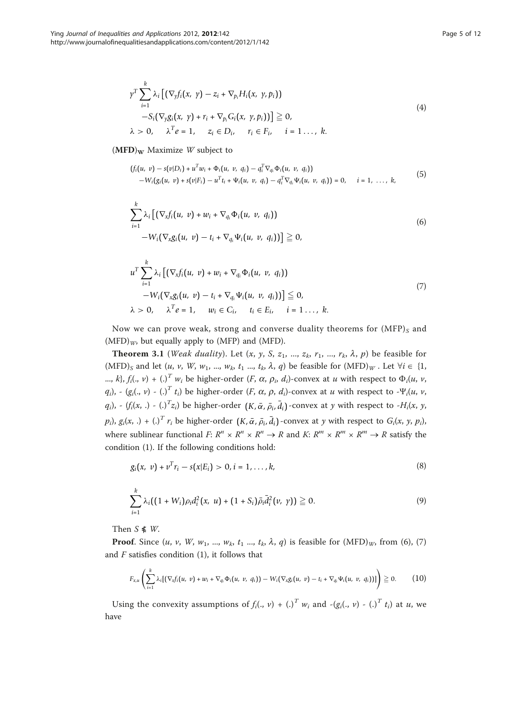$$
\gamma^T \sum_{i=1}^k \lambda_i \left[ \left( \nabla_y f_i(x, y) - z_i + \nabla_{p_i} H_i(x, y, p_i) \right) - S_i \left( \nabla_y g_i(x, y) + r_i + \nabla_{p_i} G_i(x, y, p_i) \right) \right] \geq 0, \n\lambda > 0, \quad \lambda^T e = 1, \quad z_i \in D_i, \quad r_i \in F_i, \quad i = 1 \dots, k.
$$
\n(4)

 $(MFD)<sub>W</sub>$  Maximize W subject to

$$
(f_i(u, v) - s(v|D_i) + u^Tw_i + \Phi_i(u, v, q_i) - q_i^T \nabla_{q_i} \Phi_i(u, v, q_i))
$$
  
- W<sub>i</sub>(g<sub>i</sub>(u, v) + s(v|F<sub>i</sub>) - u<sup>T</sup>t<sub>i</sub> + \Psi<sub>i</sub>(u, v, q<sub>i</sub>) - q\_i^T \nabla\_{q\_i} \Psi\_i(u, v, q\_i)) = 0, i = 1, ..., k, (5)

$$
\sum_{i=1}^{k} \lambda_i \left[ \left( \nabla_x f_i(u, v) + w_i + \nabla_{q_i} \Phi_i(u, v, q_i) \right) - W_i \left( \nabla_x g_i(u, v) - t_i + \nabla_{q_i} \Psi_i(u, v, q_i) \right) \right] \geq 0,
$$
\n(6)

$$
u^T \sum_{i=1}^k \lambda_i \left[ \left( \nabla_x f_i(u, v) + w_i + \nabla_{q_i} \Phi_i(u, v, q_i) \right) -W_i \left( \nabla_x g_i(u, v) - t_i + \nabla_{q_i} \Psi_i(u, v, q_i) \right) \right] \leq 0,
$$
  
\n
$$
\lambda > 0, \quad \lambda^T e = 1, \quad w_i \in C_i, \quad t_i \in E_i, \quad i = 1 \dots, k.
$$
\n(7)

Now we can prove weak, strong and converse duality theorems for  $(MFP)_S$  and  $(MFD)<sub>W</sub>$ , but equally apply to (MFP) and (MFD).

**Theorem 3.1** (*Weak duality*). Let  $(x, y, S, z_1, ..., z_k, r_1, ..., r_k, \lambda, p)$  be feasible for (MFD)<sub>S</sub> and let  $(u, v, W, w_1, ..., w_k, t_1, ..., t_k, \lambda, q)$  be feasible for  $(MFD)_W$ . Let  $\forall i \in \{1,$ ..., k},  $f_i(., v) + (.)^T w_i$  be higher-order  $(F, \alpha, \rho_i, d_i)$ -convex at u with respect to  $\Phi_i(u, v, d_i)$  $q_i$ ), - ( $g_i$ (., v) - (.)<sup>T</sup>  $t_i$ ) be higher-order (F,  $\alpha$ ,  $\rho$ ,  $d_i$ )-convex at u with respect to - $\Psi_i(u, v, v)$  $q_i$ ),  $(f_i(x, .) - (.)^T z_i)$  be higher-order  $(K, \bar{\alpha}, \bar{\rho}_i, \bar{d}_i)$ -convex at y with respect to  $-H_i(x, y,$  $p_i$ ),  $g_i(x,.) + ()^T r_i$  be higher-order  $(K, \bar{\alpha}, \bar{\rho}_i, \bar{d}_i)$ -convex at y with respect to  $G_i(x, y, p_i)$ , where sublinear functional  $F: R^n \times R^n \times R^n \to R$  and  $K: R^m \times R^m \times R^m \to R$  satisfy the condition (1). If the following conditions hold:

$$
g_i(x, v) + v^T r_i - s(x|E_i) > 0, i = 1, ..., k,
$$
\n(8)

$$
\sum_{i=1}^{k} \lambda_i ((1 + W_i) \rho_i d_i^2(x, u) + (1 + S_i) \bar{\rho}_i \bar{d}_i^2(v, \gamma)) \geq 0. \tag{9}
$$

Then  $S$   $\leq$  *W*.

**Proof.** Since  $(u, v, W, w_1, ..., w_k, t_1, ..., t_k, \lambda, q)$  is feasible for  $(MFD)<sub>W</sub>$ , from  $(6)$ ,  $(7)$ and  $F$  satisfies condition (1), it follows that

$$
F_{x,u}\left(\sum_{i=1}^k \lambda_i [(\nabla_x f_i(u, v) + w_i + \nabla_{q_i} \Phi_i(u, v, q_i)) - W_i(\nabla_x g_i(u, v) - t_i + \nabla_{q_i} \Psi_i(u, v, q_i))]\right) \geq 0. \quad (10)
$$

Using the convexity assumptions of  $f_i(., v) + (.)^T w_i$  and  $(g_i(., v) - (.)^T t_i)$  at u, we have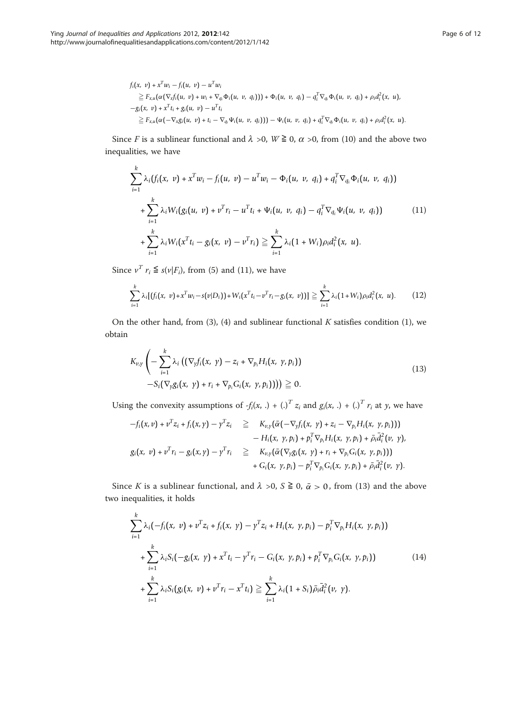$$
f_i(x, v) + x^T w_i - f_i(u, v) - u^T w_i
$$
  
\n
$$
\geq F_{x,u}(\alpha(\nabla_x f_i(u, v) + w_i + \nabla_{q_i} \Phi_i(u, v, q_i))) + \Phi_i(u, v, q_i) - q_i^T \nabla_{q_i} \Phi_i(u, v, q_i) + \rho_i d_i^2(x, u),
$$
  
\n
$$
-g_i(x, v) + x^T t_i + g_i(u, v) - u^T t_i
$$
  
\n
$$
\geq F_{x,u}(\alpha(-\nabla_x g_i(u, v) + t_i - \nabla_{q_i} \Psi_i(u, v, q_i))) - \Psi_i(u, v, q_i) + q_i^T \nabla_{q_i} \Phi_i(u, v, q_i) + \rho_i d_i^2(x, u).
$$

Since F is a sublinear functional and  $\lambda >0$ ,  $W \ge 0$ ,  $\alpha >0$ , from (10) and the above two inequalities, we have

$$
\sum_{i=1}^{k} \lambda_i (f_i(x, v) + x^T w_i - f_i(u, v) - u^T w_i - \Phi_i(u, v, q_i) + q_i^T \nabla_{q_i} \Phi_i(u, v, q_i))
$$
  
+ 
$$
\sum_{i=1}^{k} \lambda_i W_i (g_i(u, v) + v^T r_i - u^T t_i + \Psi_i(u, v, q_i) - q_i^T \nabla_{q_i} \Psi_i(u, v, q_i))
$$
(11)  
+ 
$$
\sum_{i=1}^{k} \lambda_i W_i (x^T t_i - g_i(x, v) - v^T r_i) \geq \sum_{i=1}^{k} \lambda_i (1 + W_i) \rho_i d_i^2(x, u).
$$

Since  $v^T r_i \leq s(v|F_i)$ , from (5) and (11), we have

$$
\sum_{i=1}^k \lambda_i [(f_i(x, v) + x^T w_i - s(v|D_i)) + W_i(x^T t_i - v^T r_i - g_i(x, v))] \geq \sum_{i=1}^k \lambda_i (1 + W_i) \rho_i d_i^2(x, u).
$$
 (12)

On the other hand, from (3), (4) and sublinear functional  $K$  satisfies condition (1), we obtain

$$
K_{\nu,\gamma}\left(-\sum_{i=1}^k \lambda_i \left((\nabla_y f_i(x, \gamma) - z_i + \nabla_{p_i} H_i(x, \gamma, p_i)\right)\right.-S_i(\nabla_y g_i(x, \gamma) + r_i + \nabla_{p_i} G_i(x, \gamma, p_i)))\right) \geq 0.
$$
\n(13)

Using the convexity assumptions of  $-f_i(x,.) + ()^T z_i$  and  $g_i(x,.) + ()^T r_i$  at y, we have

$$
-f_i(x, v) + v^T z_i + f_i(x, y) - y^T z_i \geq K_{v, \gamma}(\bar{\alpha}(-\nabla_y f_i(x, y) + z_i - \nabla_{p_i} H_i(x, y, p_i)))
$$
  
\n
$$
- H_i(x, y, p_i) + p_i^T \nabla_{p_i} H_i(x, y, p_i) + \bar{\rho}_i \bar{d}_i^2(v, y),
$$
  
\n
$$
g_i(x, v) + v^T r_i - g_i(x, y) - y^T r_i \geq K_{v, \gamma}(\bar{\alpha}(\nabla_y g_i(x, y) + r_i + \nabla_{p_i} G_i(x, y, p_i)))
$$
  
\n
$$
+ G_i(x, y, p_i) - p_i^T \nabla_{p_i} G_i(x, y, p_i) + \bar{\rho}_i \bar{d}_i^2(v, y).
$$

Since K is a sublinear functional, and  $\lambda >0$ ,  $S \ge 0$ ,  $\bar{\alpha} > 0$ , from (13) and the above two inequalities, it holds

$$
\sum_{i=1}^{k} \lambda_{i} \left( -f_{i}(x, \ v) + v^{T} z_{i} + f_{i}(x, \ \gamma) - \gamma^{T} z_{i} + H_{i}(x, \ \gamma, p_{i}) - p_{i}^{T} \nabla_{p_{i}} H_{i}(x, \ \gamma, p_{i}) \right) + \sum_{i=1}^{k} \lambda_{i} S_{i} \left( -g_{i}(x, \ \gamma) + x^{T} t_{i} - \gamma^{T} r_{i} - G_{i}(x, \ \gamma, p_{i}) + p_{i}^{T} \nabla_{p_{i}} G_{i}(x, \ \gamma, p_{i}) \right) + \sum_{i=1}^{k} \lambda_{i} S_{i} \left( g_{i}(x, \ \nu) + v^{T} r_{i} - x^{T} t_{i} \right) \geq \sum_{i=1}^{k} \lambda_{i} \left( 1 + S_{i} \right) \bar{\rho}_{i} \bar{d}_{i}^{2} \left( \nu, \ \gamma \right).
$$
\n(14)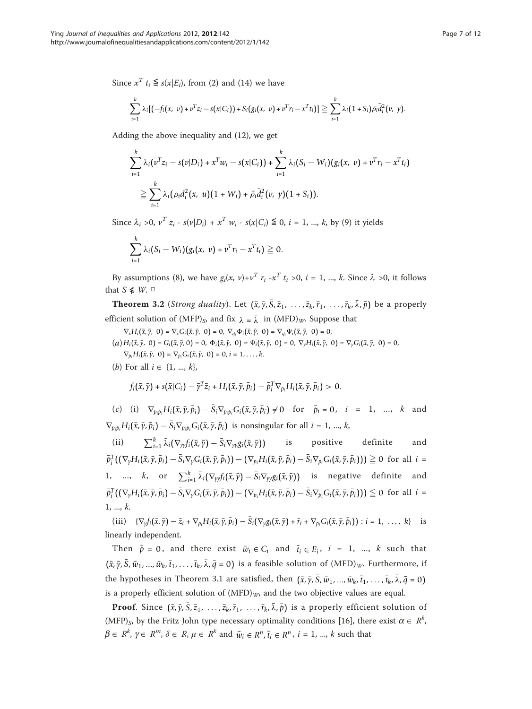Since  $x^T t_i \leq s(x|E_i)$ , from (2) and (14) we have

$$
\sum_{i=1}^k \lambda_i [(-f_i(x, v) + v^T z_i - s(x|C_i)) + S_i(g_i(x, v) + v^T r_i - x^T t_i)] \geq \sum_{i=1}^k \lambda_i (1 + S_i) \overline{\rho}_i \overline{d}_i^2(v, v).
$$

Adding the above inequality and (12), we get

$$
\sum_{i=1}^k \lambda_i (v^T z_i - s(v|D_i) + x^T w_i - s(x|C_i)) + \sum_{i=1}^k \lambda_i (S_i - W_i) (g_i(x, v) + v^T r_i - x^T t_i)
$$
  
\n
$$
\geq \sum_{i=1}^k \lambda_i (\rho_i d_i^2 (x, u) (1 + W_i) + \bar{\rho}_i \bar{d}_i^2 (v, y) (1 + S_i)).
$$

Since  $\lambda_i > 0$ ,  $v^T z_i - s(v|D_i) + x^T w_i - s(x|C_i) \leq 0$ ,  $i = 1, ..., k$ , by (9) it yields

$$
\sum_{i=1}^k \lambda_i (S_i - W_i)(g_i(x, v) + v^T r_i - x^T t_i) \geq 0.
$$

By assumptions (8), we have  $g_i(x, v)+v^T r_i -x^T t_i >0$ ,  $i = 1, ..., k$ . Since  $\lambda >0$ , it follows that  $S$   $\leq$   $W.$   $\Box$ 

**Theorem 3.2** (*Strong duality*). Let  $(\bar{x}, \bar{y}, \bar{S}, \bar{z}_1, \ldots, \bar{z}_k, \bar{r}_1, \ldots, \bar{r}_k, \bar{\lambda}, \bar{p})$  be a properly efficient solution of (MFP)<sub>S</sub>, and fix  $\lambda = \overline{\lambda}$  in (MFD)<sub>W</sub>. Suppose that

 $\nabla_x H_i(\bar{x}, \bar{y}, 0) = \nabla_x G_i(\bar{x}, \bar{y}, 0) = 0, \nabla_{q_i} \Phi_i(\bar{x}, \bar{y}, 0) = \nabla_{q_i} \Psi_i(\bar{x}, \bar{y}, 0) = 0,$ 

- $(a) H_i(\bar{x}, \bar{y}, 0) = G_i(\bar{x}, \bar{y}, 0) = 0, \Phi_i(\bar{x}, \bar{y}, 0) = \Psi_i(\bar{x}, \bar{y}, 0) = 0, \nabla_y H_i(\bar{x}, \bar{y}, 0) = \nabla_y G_i(\bar{x}, \bar{y}, 0) = 0,$  $\nabla_{p_i} H_i(\bar{x}, \bar{y}, 0) = \nabla_{p_i} G_i(\bar{x}, \bar{y}, 0) = 0, i = 1, ..., k.$
- (*b*) For all  $i \in \{1, ..., k\},\$

$$
f_i(\bar{x},\bar{y})+s(\bar{x}|C_i)-\bar{y}^T\bar{z}_i+H_i(\bar{x},\bar{y},\bar{p}_i)-\bar{p}_i^T\nabla_{p_i}H_i(\bar{x},\bar{y},\bar{p}_i)>0.
$$

(c) (i)  $\nabla_{p_i p_i} H_i(\bar{x}, \bar{y}, \bar{p}_i) - S_i \nabla_{p_i p_i} G_i(\bar{x}, \bar{y}, \bar{p}_i) \neq 0$  for  $\bar{p}_i = 0, \quad i = 1, \dots, k$  and  $\nabla_{p_i p_i} H_i(\bar{x}, \bar{y}, \bar{p}_i) - S_i \nabla_{p_i p_i} G_i(\bar{x}, \bar{y}, \bar{p}_i)$  is nonsingular for all  $i = 1, ..., k$ ,

(ii)  $\sum_{i=1}^{k} \bar{\lambda}_i (\nabla_{\gamma y} f_i(\bar{x}, \bar{y}) - \bar{S}_i \nabla_{\gamma y} g_i(\bar{x}, \bar{y}))$  is positive definite and  $\bar{p}_i^T((\nabla_y H_i(\bar{x}, \bar{y}, \bar{\rho}_i) - \bar{S}_i \nabla_y G_i(\bar{x}, \bar{y}, \bar{\rho}_i)) - (\nabla_{p_i} H_i(\bar{x}, \bar{y}, \bar{\rho}_i) - \bar{S}_i \nabla_{p_i} G_i(\bar{x}, \bar{y}, \bar{\rho}_i))) \geq 0$  for all  $i =$ 1, ..., *k*, or  $\sum_{i=1}^{k} \bar{\lambda}_i (\nabla_{yy} f_i(\bar{x}, \bar{y}) - \bar{S}_i \nabla_{yy} g_i(\bar{x}, \bar{y}))$  is negative definite and  $\bar{p}_i^T((\nabla_y H_i(\bar{x}, \bar{y}, \bar{\rho}_i) - \bar{S}_i \nabla_y G_i(\bar{x}, \bar{y}, \bar{\rho}_i)) - (\nabla_{p_i} H_i(\bar{x}, \bar{y}, \bar{\rho}_i) - \bar{S}_i \nabla_{p_i} G_i(\bar{x}, \bar{y}, \bar{\rho}_i))) \leq 0$  for all  $i =$  $1, ..., k.$ 

(iii)  $\{\nabla_y f_i(\bar{x}, \bar{y}) - \bar{z}_i + \nabla_{p_i} H_i(\bar{x}, \bar{y}, \bar{p}_i) - \bar{S}_i(\nabla_y g_i(\bar{x}, \bar{y}) + \bar{r}_i + \nabla_{p_i} G_i(\bar{x}, \bar{y}, \bar{p}_i)) : i = 1, ..., k\}$  is linearly independent.

Then  $\bar{p} = 0$ , and there exist  $\bar{w}_i \in C_i$  and  $\bar{t}_i \in E_i$ ,  $i = 1, ..., k$  such that  $(\bar{x}, \bar{y}, \bar{S}, \bar{w}_1, ..., \bar{w}_k, \bar{t}_1, ..., \bar{t}_k, \bar{\lambda}, \bar{q} = 0)$  is a feasible solution of  $(MFD)_W$ . Furthermore, if the hypotheses in Theorem 3.1 are satisfied, then  $(\bar{x}, \bar{y}, \bar{S}, \bar{w}_1, ..., \bar{w}_k, \bar{t}_1, ..., \bar{t}_k, \bar{\lambda}, \bar{q} = 0)$ is a properly efficient solution of  $(MFD)<sub>W</sub>$ , and the two objective values are equal.

**Proof.** Since  $(\bar{x}, \bar{y}, \bar{S}, \bar{z}_1, \ldots, \bar{z}_k, \bar{r}_1, \ldots, \bar{r}_k, \bar{\lambda}, \bar{p})$  is a properly efficient solution of (MFP)<sub>S</sub>, by the Fritz John type necessary optimality conditions [[16\]](#page-11-0), there exist  $\alpha \in R^k$ ,  $\beta \in R^k$ ,  $\gamma \in R^m$ ,  $\delta \in R$ ,  $\mu \in R^k$  and  $\bar{w}_i \in R^n$ ,  $\bar{t}_i \in R^n$ ,  $i = 1, ..., k$  such that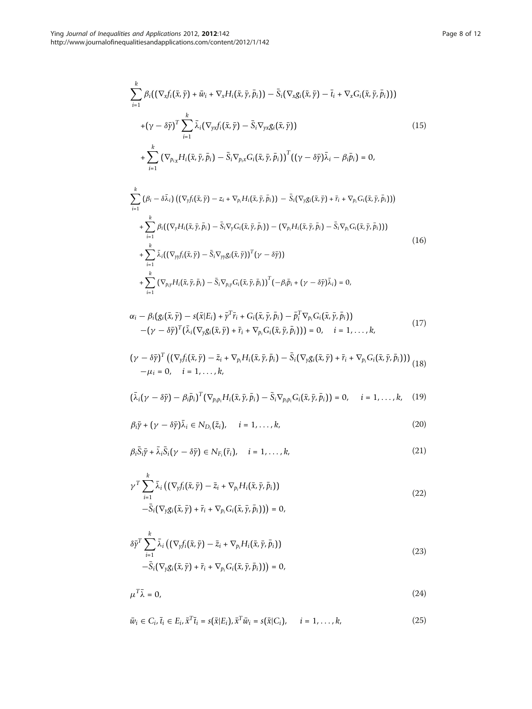$$
\sum_{i=1}^{k} \beta_i \big( \big( \nabla_x f_i \big( \bar{x}, \bar{y} \big) + \bar{w}_i + \nabla_x H_i \big( \bar{x}, \bar{y}, \bar{\rho}_i \big) \big) - \bar{S}_i \big( \nabla_x g_i \big( \bar{x}, \bar{y} \big) - \bar{t}_i + \nabla_x G_i \big( \bar{x}, \bar{y}, \bar{\rho}_i \big) \big) \big) + \big( \gamma - \delta \bar{y} \big)^T \sum_{i=1}^{k} \bar{\lambda}_i \big( \nabla_{yx} f_i \big( \bar{x}, \bar{y} \big) - \bar{S}_i \nabla_{yx} g_i \big( \bar{x}, \bar{y} \big) \big) + \sum_{i=1}^{k} \big( \nabla_{p_i x} H_i \big( \bar{x}, \bar{y}, \bar{p}_i \big) - \bar{S}_i \nabla_{p_i x} G_i \big( \bar{x}, \bar{y}, \bar{p}_i \big) \big)^T \big( \big( \gamma - \delta \bar{y} \big) \bar{\lambda}_i - \beta_i \bar{p}_i \big) = 0,
$$
\n(15)

$$
\sum_{i=1}^{k} (\beta_i - \delta \bar{\lambda}_i) \left( (\nabla_y f_i(\bar{x}, \bar{y}) - z_i + \nabla_{p_i} H_i(\bar{x}, \bar{y}, \bar{p}_i)) - \bar{S}_i (\nabla_y g_i(\bar{x}, \bar{y}) + \bar{r}_i + \nabla_{p_i} G_i(\bar{x}, \bar{y}, \bar{p}_i)) \right) + \sum_{i=1}^{k} \beta_i \left( (\nabla_y H_i(\bar{x}, \bar{y}, \bar{p}_i) - \bar{S}_i \nabla_y G_i(\bar{x}, \bar{y}, \bar{p}_i)) - (\nabla_{p_i} H_i(\bar{x}, \bar{y}, \bar{p}_i) - \bar{S}_i \nabla_{p_i} G_i(\bar{x}, \bar{y}, \bar{p}_i)) \right) + \sum_{i=1}^{k} \bar{\lambda}_i \left( (\nabla_y f_i(\bar{x}, \bar{y}) - \bar{S}_i \nabla_{yy} g_i(\bar{x}, \bar{y}))^T (\gamma - \delta \bar{y}) \right) + \sum_{i=1}^{k} (\nabla_{p_i} y H_i(\bar{x}, \bar{y}, \bar{p}_i) - \bar{S}_i \nabla_{p_i} G_i(\bar{x}, \bar{y}, \bar{p}_i))^T (-\beta_i \bar{p}_i + (\gamma - \delta \bar{y}) \bar{\lambda}_i) = 0,
$$
\n(16)

$$
\alpha_i - \beta_i (g_i(\bar{x}, \bar{y}) - s(\bar{x}|E_i) + \bar{y}^T \bar{r}_i + G_i(\bar{x}, \bar{y}, \bar{p}_i) - \bar{p}_i^T \nabla_{p_i} G_i(\bar{x}, \bar{y}, \bar{p}_i)) -(\gamma - \delta \bar{y})^T (\bar{\lambda}_i (\nabla_y g_i(\bar{x}, \bar{y}) + \bar{r}_i + \nabla_{p_i} G_i(\bar{x}, \bar{y}, \bar{p}_i))) = 0, \quad i = 1, ..., k,
$$
\n(17)

$$
(\gamma - \delta \bar{\gamma})^T \left( (\nabla_y f_i(\bar{x}, \bar{\gamma}) - \bar{z}_i + \nabla_{p_i} H_i(\bar{x}, \bar{\gamma}, \bar{p}_i) - \bar{S}_i (\nabla_y g_i(\bar{x}, \bar{\gamma}) + \bar{r}_i + \nabla_{p_i} G_i(\bar{x}, \bar{\gamma}, \bar{p}_i)) \right)_{\text{(18)}} - \mu_i = 0, \quad i = 1, ..., k,
$$

$$
(\bar{\lambda}_i(\gamma-\delta\bar{\gamma})-\beta_i\bar{p}_i)^T(\nabla_{p_ip_i}H_i(\bar{x},\bar{\gamma},\bar{p}_i)-\bar{S}_i\nabla_{p_ip_i}G_i(\bar{x},\bar{\gamma},\bar{p}_i))=0, \quad i=1,\ldots,k,\quad (19)
$$

$$
\beta_i \bar{\gamma} + (\gamma - \delta \bar{\gamma}) \bar{\lambda}_i \in N_{D_i}(\bar{z}_i), \quad i = 1, \dots, k,
$$
\n(20)

$$
\beta_i \bar{S}_i \bar{\gamma} + \bar{\lambda}_i \bar{S}_i (\gamma - \delta \bar{\gamma}) \in N_{F_i}(\bar{r}_i), \quad i = 1, \dots, k,
$$
\n(21)

$$
\gamma^T \sum_{i=1}^k \bar{\lambda}_i \left( \left( \nabla_y f_i(\bar{x}, \bar{y}) - \bar{z}_i + \nabla_{p_i} H_i(\bar{x}, \bar{y}, \bar{p}_i) \right) - \bar{S}_i \left( \nabla_y g_i(\bar{x}, \bar{y}) + \bar{r}_i + \nabla_{p_i} G_i(\bar{x}, \bar{y}, \bar{p}_i) \right) \right) = 0,
$$
\n(22)

$$
\delta \bar{\gamma}^T \sum_{i=1}^k \bar{\lambda}_i \left( \left( \nabla_y f_i(\bar{x}, \bar{y}) - \bar{z}_i + \nabla_{p_i} H_i(\bar{x}, \bar{y}, \bar{p}_i) \right) - \bar{S}_i (\nabla_y g_i(\bar{x}, \bar{y}) + \bar{r}_i + \nabla_{p_i} G_i(\bar{x}, \bar{y}, \bar{p}_i)) \right) = 0,
$$
\n(23)

$$
\mu^T \bar{\lambda} = 0,\tag{24}
$$

$$
\bar{w}_i \in C_i, \bar{t}_i \in E_i, \bar{x}^T \bar{t}_i = s(\bar{x}|E_i), \bar{x}^T \bar{w}_i = s(\bar{x}|C_i), \qquad i = 1, \dots, k,
$$
\n
$$
(25)
$$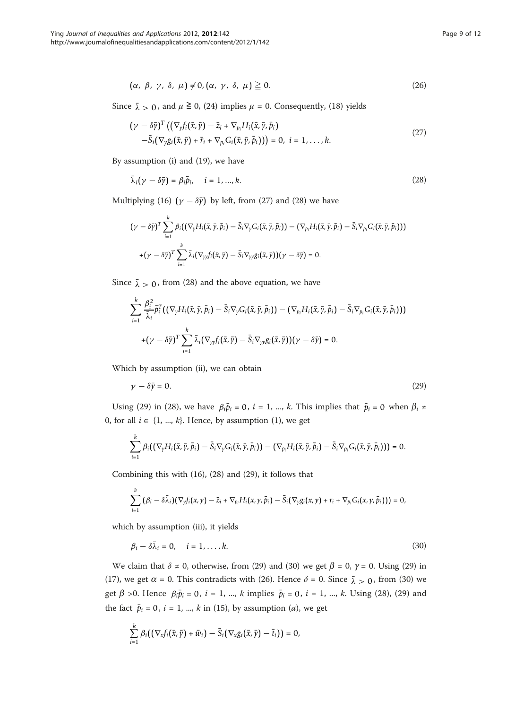$$
(\alpha, \beta, \gamma, \delta, \mu) \neq 0, (\alpha, \gamma, \delta, \mu) \geq 0.
$$
 (26)

Since  $\bar{\lambda} > 0$ , and  $\mu \ge 0$ , (24) implies  $\mu = 0$ . Consequently, (18) yields

$$
(\gamma - \delta \bar{\gamma})^T \left( (\nabla_y f_i(\bar{x}, \bar{y}) - \bar{z}_i + \nabla_{p_i} H_i(\bar{x}, \bar{y}, \bar{p}_i) - \bar{S}_i(\nabla_y g_i(\bar{x}, \bar{y}) + \bar{r}_i + \nabla_{p_i} G_i(\bar{x}, \bar{y}, \bar{p}_i)) \right) = 0, \quad i = 1, ..., k.
$$
\n(27)

By assumption (i) and (19), we have

$$
\bar{\lambda}_i(\gamma - \delta \bar{\gamma}) = \beta_i \bar{p}_i, \quad i = 1, ..., k. \tag{28}
$$

Multiplying (16)  $(\gamma - \delta \bar{y})$  by left, from (27) and (28) we have

$$
(\gamma - \delta \bar{y})^T \sum_{i=1}^k \beta_i ((\nabla_y H_i(\bar{x}, \bar{y}, \bar{p}_i) - \bar{S}_i \nabla_y G_i(\bar{x}, \bar{y}, \bar{p}_i)) - (\nabla_{p_i} H_i(\bar{x}, \bar{y}, \bar{p}_i) - \bar{S}_i \nabla_{p_i} G_i(\bar{x}, \bar{y}, \bar{p}_i)))
$$
  
+ $(\gamma - \delta \bar{y})^T \sum_{i=1}^k \bar{\lambda}_i (\nabla_{yy} f_i(\bar{x}, \bar{y}) - \bar{S}_i \nabla_{yy} g_i(\bar{x}, \bar{y})) (\gamma - \delta \bar{y}) = 0.$ 

Since  $\bar{\lambda} > 0$ , from (28) and the above equation, we have

$$
\sum_{i=1}^k \frac{\beta_i^2}{\overline{\lambda}_i} \overline{\tilde{p}}_i^T \big( (\nabla_y H_i(\bar{x}, \bar{y}, \bar{p}_i) - \overline{S}_i \nabla_y G_i(\bar{x}, \bar{y}, \bar{p}_i) \big) - (\nabla_{p_i} H_i(\bar{x}, \bar{y}, \bar{p}_i) - \overline{S}_i \nabla_{p_i} G_i(\bar{x}, \bar{y}, \bar{p}_i)) \big) + (\gamma - \delta \overline{\gamma})^T \sum_{i=1}^k \overline{\lambda}_i (\nabla_{yy} f_i(\bar{x}, \bar{y}) - \overline{S}_i \nabla_{yy} g_i(\bar{x}, \bar{y})) (\gamma - \delta \overline{\gamma}) = 0.
$$

Which by assumption (ii), we can obtain

$$
\gamma - \delta \bar{\gamma} = 0. \tag{29}
$$

Using (29) in (28), we have  $\beta_i \bar{p}_i = 0$ ,  $i = 1, ..., k$ . This implies that  $\bar{p}_i = 0$  when  $\beta_i \neq$ 0, for all  $i \in \{1, ..., k\}$ . Hence, by assumption (1), we get

$$
\sum_{i=1}^k \beta_i \big( (\nabla_y H_i(\bar{x}, \bar{y}, \bar{\rho}_i) - \bar{S}_i \nabla_y G_i(\bar{x}, \bar{y}, \bar{\rho}_i) \big) - (\nabla_{p_i} H_i(\bar{x}, \bar{y}, \bar{\rho}_i) - \bar{S}_i \nabla_{p_i} G_i(\bar{x}, \bar{y}, \bar{\rho}_i) \big) \big) = 0.
$$

Combining this with (16), (28) and (29), it follows that

$$
\sum_{i=1}^k (\beta_i - \delta \bar{\lambda}_i) (\nabla_y f_i(\bar{x}, \bar{y}) - \bar{z}_i + \nabla_{p_i} H_i(\bar{x}, \bar{y}, \bar{p}_i) - \bar{S}_i (\nabla_y g_i(\bar{x}, \bar{y}) + \bar{r}_i + \nabla_{p_i} G_i(\bar{x}, \bar{y}, \bar{p}_i))) = 0,
$$

which by assumption (iii), it yields

$$
\beta_i - \delta \bar{\lambda}_i = 0, \quad i = 1, \dots, k. \tag{30}
$$

We claim that  $\delta \neq 0$ , otherwise, from (29) and (30) we get  $\beta = 0$ ,  $\gamma = 0$ . Using (29) in (17), we get  $\alpha$  = 0. This contradicts with (26). Hence  $\delta$  = 0. Since  $\bar{\lambda} > 0$ , from (30) we get  $\beta$  >0. Hence  $\beta_i \bar{p}_i = 0$ ,  $i = 1, ..., k$  implies  $\bar{p}_i = 0$ ,  $i = 1, ..., k$ . Using (28), (29) and the fact  $\bar{p}_i = 0$ ,  $i = 1$ , ..., k in (15), by assumption (*a*), we get

$$
\sum_{i=1}^k \beta_i ((\nabla_x f_i(\bar{x}, \bar{y}) + \bar{w}_i) - \bar{S}_i (\nabla_x g_i(\bar{x}, \bar{y}) - \bar{t}_i)) = 0,
$$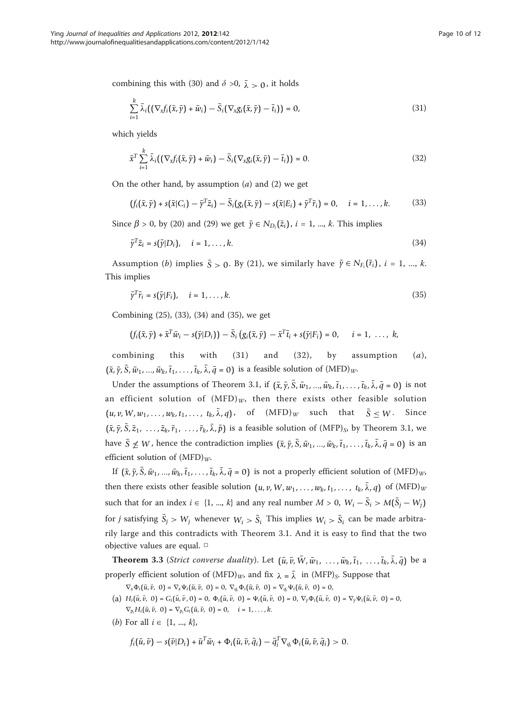combining this with (30) and  $\delta > 0$ ,  $\bar{\lambda} > 0$ , it holds

$$
\sum_{i=1}^k \bar{\lambda}_i ((\nabla_x f_i(\bar{x}, \bar{y}) + \bar{w}_i) - \bar{S}_i (\nabla_x g_i(\bar{x}, \bar{y}) - \bar{t}_i)) = 0, \qquad (31)
$$

which yields

$$
\bar{x}^T \sum_{i=1}^k \bar{\lambda}_i ((\nabla_x f_i(\bar{x}, \bar{y}) + \bar{w}_i) - \bar{S}_i (\nabla_x g_i(\bar{x}, \bar{y}) - \bar{t}_i)) = 0.
$$
\n(32)

On the other hand, by assumption  $(a)$  and  $(2)$  we get

$$
(f_i(\bar{x},\bar{y}) + s(\bar{x}|C_i) - \bar{y}^T \bar{z}_i) - \bar{S}_i(g_i(\bar{x},\bar{y}) - s(\bar{x}|E_i) + \bar{y}^T \bar{r}_i) = 0, \quad i = 1,\ldots,k.
$$
 (33)

Since  $\beta > 0$ , by (20) and (29) we get  $\bar{y} \in N_{D_i}(\bar{z}_i)$ ,  $i = 1, ..., k$ . This implies

$$
\bar{\gamma}^T \bar{z}_i = s(\bar{\gamma}|D_i), \quad i = 1, \dots, k. \tag{34}
$$

Assumption (*b*) implies  $\bar{S} > 0$ . By (21), we similarly have  $\bar{\gamma} \in N_{F_i}(\bar{r}_i)$ ,  $i = 1, ..., k$ . This implies

$$
\bar{\gamma}^T \bar{r}_i = s(\bar{\gamma}|F_i), \quad i = 1, \dots, k. \tag{35}
$$

Combining (25), (33), (34) and (35), we get

$$
(f_i(\bar{x},\bar{y})+\bar{x}^T\bar{w}_i-s(\bar{y}|D_i))-\bar{S}_i(g_i(\bar{x},\bar{y})-\bar{x}^T\bar{t}_i+s(\bar{y}|F_i)=0, \quad i=1,\ldots,k,
$$

combining this with  $(31)$  and  $(32)$ , by assumption  $(a)$ ,  $(\bar{x}, \bar{y}, \bar{S}, \bar{w}_1, \ldots, \bar{w}_k, \bar{t}_1, \ldots, \bar{t}_k, \bar{\lambda}, \bar{q} = 0)$  is a feasible solution of  $(MFD)_{W}$ .

Under the assumptions of Theorem 3.1, if  $(\bar{x}, \bar{y}, \bar{S}, \bar{w}_1, ..., \bar{w}_k, \bar{t}_1, ..., \bar{t}_k, \bar{\lambda}, \bar{q} = 0)$  is not an efficient solution of  $(MFD)_{W}$ , then there exists other feasible solution  $(u, v, W, w_1, \ldots, w_k, t_1, \ldots, t_k, \bar{\lambda}, q)$ , of  $(MFD)_W$  such that  $\bar{S} < W$ . Since  $(\bar{x}, \bar{y}, \bar{S}, \bar{z}_1, \ldots, \bar{z}_k, \bar{r}_1, \ldots, \bar{r}_k, \bar{\lambda}, \bar{p})$  is a feasible solution of (MFP)<sub>S</sub>, by Theorem 3.1, we have  $\bar{S} \not\leq W$ , hence the contradiction implies  $(\bar{x}, \bar{y}, \bar{S}, \bar{w}_1, ..., \bar{w}_k, \bar{t}_1, ..., \bar{t}_k, \bar{\lambda}, \bar{q} = 0)$  is an efficient solution of  $(MFD)<sub>W</sub>$ 

If  $(\bar{x}, \bar{y}, \bar{S}, \bar{w}_1, ..., \bar{w}_k, \bar{t}_1, ..., \bar{t}_k, \bar{\lambda}, \bar{q} = 0)$  is not a properly efficient solution of  $(MFD)_{W_2}$ then there exists other feasible solution  $(u, v, W, w_1, \ldots, w_k, t_1, \ldots, t_k, \bar{\lambda}, q)$  of  $(MFD)_W$ such that for an index  $i \in \{1, ..., k\}$  and any real number  $M > 0$ ,  $W_i - \overline{S}_i > M(\overline{S}_i - W_i)$ for *j* satisfying  $\bar{S}_i > W_i$  whenever  $W_i > \bar{S}_i$  This implies  $W_i > \bar{S}_i$  can be made arbitrarily large and this contradicts with Theorem 3.1. And it is easy to find that the two objective values are equal. □

**Theorem 3.3** (Strict converse duality). Let  $(\bar{u}, \bar{v}, \bar{W}, \bar{w}_1, \ldots, \bar{w}_k, \bar{t}_1, \ldots, \bar{t}_k, \bar{\lambda}, \bar{q})$  be a properly efficient solution of  $(MFD)_{W}$ , and fix  $\lambda = \overline{\lambda}$  in  $(MFP)_{S}$ . Suppose that

 $\nabla_x \Phi_i(\bar{u}, \bar{v}, 0) = \nabla_x \Psi_i(\bar{u}, \bar{v}, 0) = 0, \nabla_{q_i} \Phi_i(\bar{u}, \bar{v}, 0) = \nabla_{q_i} \Psi_i(\bar{u}, \bar{v}, 0) = 0,$ 

- (a)  $H_i(\bar{u}, \bar{v}, 0) = G_i(\bar{u}, \bar{v}, 0) = 0$ ,  $\Phi_i(\bar{u}, \bar{v}, 0) = \Psi_i(\bar{u}, \bar{v}, 0) = 0$ ,  $\nabla_y \Phi_i(\bar{u}, \bar{v}, 0) = \nabla_y \Psi_i(\bar{u}, \bar{v}, 0) = 0$ ,  $\nabla_{p_i} H_i(\bar{u}, \bar{v}, 0) = \nabla_{p_i} G_i(\bar{u}, \bar{v}, 0) = 0, \quad i = 1, \dots, k.$
- (*b*) For all  $i \in \{1, ..., k\}$ ,

$$
f_i(\bar{u}, \bar{v}) - s(\bar{v}|D_i) + \bar{u}^T \bar{w}_i + \Phi_i(\bar{u}, \bar{v}, \bar{q}_i) - \bar{q}_i^T \nabla_{q_i} \Phi_i(\bar{u}, \bar{v}, \bar{q}_i) > 0.
$$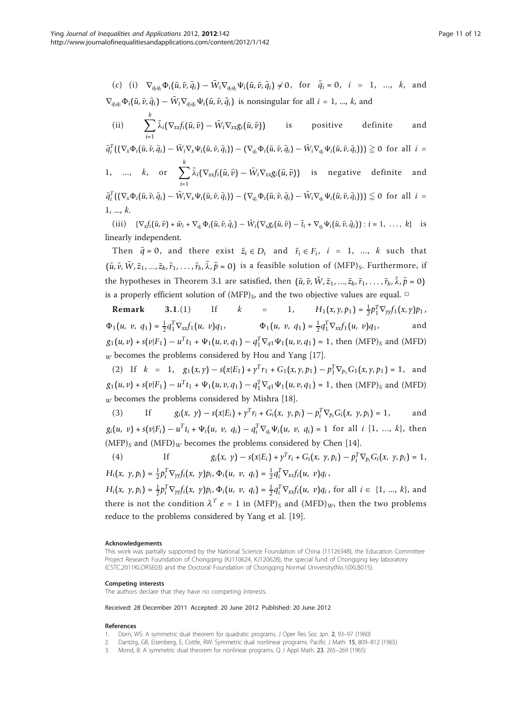<span id="page-10-0"></span>(c) (i) 
$$
\nabla_{q_i q_i} \Phi_i(\bar{u}, \bar{v}, \bar{q}_i) - \bar{W}_i \nabla_{q_i q_i} \Psi_i(\bar{u}, \bar{v}, \bar{q}_i) \neq 0
$$
, for  $\bar{q}_i = 0$ ,  $i = 1, ..., k$ , and  
 $\nabla_{q_i q_i} \Phi_i(\bar{u}, \bar{v}, \bar{q}_i) - \bar{W}_i \nabla_{q_i q_i} \Psi_i(\bar{u}, \bar{v}, \bar{q}_i)$  is nonsingular for all  $i = 1, ..., k$ , and

(ii) 
$$
\sum_{i=1}^{k} \bar{\lambda}_{i} (\nabla_{xx} f_{i}(\bar{u}, \bar{v}) - \bar{W}_{i} \nabla_{xx} g_{i}(\bar{u}, \bar{v}))
$$
 is positive definite and

 $\bar{q}_i^T((\nabla_x\Phi_i(\bar{u},\bar{v},\bar{q}_i)-\bar{W}_i\nabla_x\Psi_i(\bar{u},\bar{v},\bar{q}_i))-(\nabla_{q_i}\Phi_i(\bar{u},\bar{v},\bar{q}_i)-\bar{W}_i\nabla_{q_i}\Psi_i(\bar{u},\bar{v},\bar{q}_i)))\geqq 0$  for all  $i=$ 1, ...,  $k$ , or  $\sum$ *k i*=1  $λ_i(∇_{xx}f_i(\bar{u}, \bar{v}) – W_i∇_{xx}g_i(\bar{u}, \bar{v}))$  is negative definite and  $\bar{q}_i^T((\nabla_x\Phi_i(\bar{u},\bar{v},\bar{q}_i)-\bar{W}_i\nabla_x\Psi_i(\bar{u},\bar{v},\bar{q}_i))-(\nabla_{q_i}\Phi_i(\bar{u},\bar{v},\bar{q}_i)-\bar{W}_i\nabla_{q_i}\Psi_i(\bar{u},\bar{v},\bar{q}_i)))\leq 0$  for all  $i=$ 

$$
1,\,...,\,k.
$$

(iii)  $\{\nabla_x f_i(\bar{u}, \bar{v}) + \bar{w}_i + \nabla_{q_i} \Phi_i(\bar{u}, \bar{v}, \bar{q}_i) - \bar{W}_i(\nabla_x g_i(\bar{u}, \bar{v}) - \bar{t}_i + \nabla_{q_i} \Psi_i(\bar{u}, \bar{v}, \bar{q}_i)) : i = 1, \ldots, k\}$  is linearly independent.

Then  $\bar{q} = 0$ , and there exist  $\bar{z}_i \in D_i$  and  $\bar{r}_i \in F_i$ ,  $i = 1, ..., k$  such that  $(\bar{u}, \bar{v}, \bar{W}, \bar{z}_1, ..., \bar{z}_k, \bar{r}_1, ..., \bar{r}_k, \bar{\lambda}, \bar{p} = 0)$  is a feasible solution of  $(MFP)_s$ . Furthermore, if the hypotheses in Theorem 3.1 are satisfied, then  $(\bar{u}, \bar{v}, \bar{W}, \bar{z}_1, ..., \bar{z}_k, \bar{r}_1, ..., \bar{r}_k, \bar{\lambda}, \bar{p} = 0)$ is a properly efficient solution of  $(MFP)_S$ , and the two objective values are equal.  $□$ 

**Remark** 3.1.(1) If  $k = 1$ ,  $H_1(x, \gamma, p_1) = \frac{1}{2} p_1^T \nabla_{\gamma \gamma} f_1(x, \gamma) p_1$ ,  $\Phi_1(u, v, q_1) = \frac{1}{2} q_1^T \nabla_{xx} f_1(u, v) q_1, \qquad \Phi_1(u, v, q_1) = \frac{1}{2} q_1^T \nabla_{xx} f_1(u, v) q_1,$  and  $g_1(u, v) + s(v|F_1) - u^Tt_1 + \Psi_1(u, v, q_1) - q_1^T\nabla_{q1}\Psi_1(u, v, q_1) = 1$ , then  $(MFP)_S$  and  $(MFD)$  $W$  becomes the problems considered by Hou and Yang [[17](#page-11-0)].

(2) If  $k = 1$ ,  $g_1(x, y) - s(x|E_1) + y^T r_1 + G_1(x, y, p_1) - p_1^T \nabla_{p_1} G_1(x, y, p_1) = 1$ , and  $g_1(u, v) + s(v|F_1) - u^Tt_1 + \Psi_1(u, v, q_1) - q_1^T\nabla_{q1}\Psi_1(u, v, q_1) = 1$ , then  $(MFP)_S$  and  $(MFD)$  $_W$  becomes the problems considered by Mishra [\[18](#page-11-0)].

(3) If 
$$
g_i(x, y) - s(x|E_i) + y^T r_i + G_i(x, y, p_i) - p_i^T \nabla_{p_i} G_i(x, y, p_i) = 1
$$
, and

 $g_i(u, v) + s(v|F_i) - u^T t_i + \Psi_i(u, v, q_i) - q_i^T \nabla_{q_i} \Psi_i(u, v, q_i) = 1$  for all  $i \{1, ..., k\}$ , then  $(MFP)_S$  and  $(MFD)_W$  becomes the problems considered by Chen [[14\]](#page-11-0).

(4) If 
$$
g_i(x, y) - s(x|E_i) + y^T r_i + G_i(x, y, p_i) - p_i^T \nabla_{p_i} G_i(x, y, p_i) = 1
$$
,  
\n
$$
H_i(x, y, p_i) = \frac{1}{2} p_i^T \nabla_{yy} f_i(x, y) p_i, \Phi_i(u, v, q_i) = \frac{1}{2} q_i^T \nabla_{xx} f_i(u, v) q_i,
$$

 $H_i(x, y, p_i) = \frac{1}{2} p_i^T \nabla_{yy} f_i(x, y) p_i, \Phi_i(u, v, q_i) = \frac{1}{2} q_i^T \nabla_{xx} f_i(u, v) q_i$ , for all  $i \in \{1, ..., k\}$ , and there is not the condition  $\lambda^T e = 1$  in  $(MFP)_S$  and  $(MFD)_{W}$ , then the two problems reduce to the problems considered by Yang et al. [[19](#page-11-0)].

#### Acknowledgements

This work was partially supported by the National Science Foundation of China (11126348), the Education Committee Project Research Foundation of Chongqing (KJ110624, KJ120628), the special fund of Chongqing key laboratory (CSTC,2011KLORSE03) and the Doctoral Foundation of Chongqing Normal University(No.10XLB015).

#### Competing interests

The authors declare that they have no competing interests.

#### Received: 28 December 2011 Accepted: 20 June 2012 Published: 20 June 2012

#### References

- 1. Dorn, WS: A symmetric dual theorem for quadratic programs. J Oper Res Soc Jpn. 2, 93–97 (1960)
- 2. Dantzig, GB, Eisenberg, E, Cottle, RW: Symmetric dual nonlinear programs. Pacific J Math. 15, 809–812 (1965)
- 3. Mond, B: A symmetric dual theorem for nonlinear programs. Q J Appl Math. 23, 265–269 (1965)